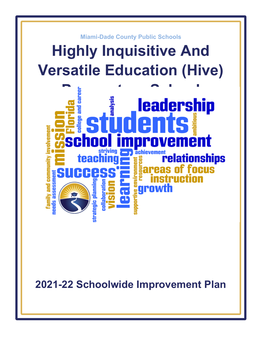

**2021-22 Schoolwide Improvement Plan**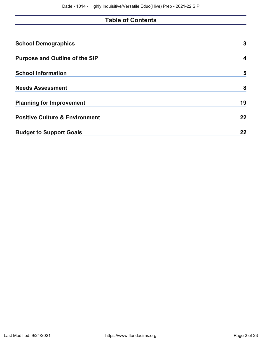# **Table of Contents**

| <b>School Demographics</b>                | 3  |
|-------------------------------------------|----|
| <b>Purpose and Outline of the SIP</b>     | 4  |
| <b>School Information</b>                 | 5  |
| <b>Needs Assessment</b>                   | 8  |
| <b>Planning for Improvement</b>           | 19 |
| <b>Positive Culture &amp; Environment</b> | 22 |
| <b>Budget to Support Goals</b>            | 22 |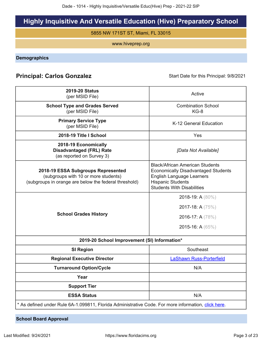# **Highly Inquisitive And Versatile Education (Hive) Preparatory School**

5855 NW 171ST ST, Miami, FL 33015

www.hiveprep.org

<span id="page-2-0"></span>**Demographics**

## **Principal: Carlos Gonzalez** Start Date for this Principal: 9/8/2021

| <b>2019-20 Status</b><br>(per MSID File)                                                                                            | Active                                                                                                                                                                                    |
|-------------------------------------------------------------------------------------------------------------------------------------|-------------------------------------------------------------------------------------------------------------------------------------------------------------------------------------------|
| <b>School Type and Grades Served</b>                                                                                                | <b>Combination School</b>                                                                                                                                                                 |
| (per MSID File)                                                                                                                     | $KG-8$                                                                                                                                                                                    |
| <b>Primary Service Type</b><br>(per MSID File)                                                                                      | K-12 General Education                                                                                                                                                                    |
| 2018-19 Title I School                                                                                                              | Yes                                                                                                                                                                                       |
| 2018-19 Economically<br><b>Disadvantaged (FRL) Rate</b><br>(as reported on Survey 3)                                                | [Data Not Available]                                                                                                                                                                      |
| 2018-19 ESSA Subgroups Represented<br>(subgroups with 10 or more students)<br>(subgroups in orange are below the federal threshold) | <b>Black/African American Students</b><br><b>Economically Disadvantaged Students</b><br><b>English Language Learners</b><br><b>Hispanic Students</b><br><b>Students With Disabilities</b> |
| <b>School Grades History</b>                                                                                                        | 2018-19: A (80%)<br>2017-18: A (75%)<br>2016-17: A (78%)<br>2015-16: A $(65\%)$                                                                                                           |
| 2019-20 School Improvement (SI) Information*                                                                                        |                                                                                                                                                                                           |
| <b>SI Region</b>                                                                                                                    | Southeast                                                                                                                                                                                 |
| <b>Regional Executive Director</b>                                                                                                  | <b>LaShawn Russ-Porterfield</b>                                                                                                                                                           |
| <b>Turnaround Option/Cycle</b>                                                                                                      | N/A                                                                                                                                                                                       |
| Year                                                                                                                                |                                                                                                                                                                                           |
| <b>Support Tier</b>                                                                                                                 |                                                                                                                                                                                           |
| <b>ESSA Status</b>                                                                                                                  | N/A                                                                                                                                                                                       |
| * As defined under Rule 6A-1.099811, Florida Administrative Code. For more information, click here.                                 |                                                                                                                                                                                           |

**School Board Approval**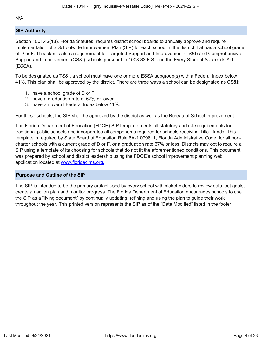N/A

## **SIP Authority**

Section 1001.42(18), Florida Statutes, requires district school boards to annually approve and require implementation of a Schoolwide Improvement Plan (SIP) for each school in the district that has a school grade of D or F. This plan is also a requirement for Targeted Support and Improvement (TS&I) and Comprehensive Support and Improvement (CS&I) schools pursuant to 1008.33 F.S. and the Every Student Succeeds Act (ESSA).

To be designated as TS&I, a school must have one or more ESSA subgroup(s) with a Federal Index below 41%. This plan shall be approved by the district. There are three ways a school can be designated as CS&I:

- 1. have a school grade of D or F
- 2. have a graduation rate of 67% or lower
- 3. have an overall Federal Index below 41%.

For these schools, the SIP shall be approved by the district as well as the Bureau of School Improvement.

The Florida Department of Education (FDOE) SIP template meets all statutory and rule requirements for traditional public schools and incorporates all components required for schools receiving Title I funds. This template is required by State Board of Education Rule 6A-1.099811, Florida Administrative Code, for all noncharter schools with a current grade of D or F, or a graduation rate 67% or less. Districts may opt to require a SIP using a template of its choosing for schools that do not fit the aforementioned conditions. This document was prepared by school and district leadership using the FDOE's school improvement planning web application located at [www.floridacims.org.](https://www.floridacims.org)

## <span id="page-3-0"></span>**Purpose and Outline of the SIP**

The SIP is intended to be the primary artifact used by every school with stakeholders to review data, set goals, create an action plan and monitor progress. The Florida Department of Education encourages schools to use the SIP as a "living document" by continually updating, refining and using the plan to guide their work throughout the year. This printed version represents the SIP as of the "Date Modified" listed in the footer.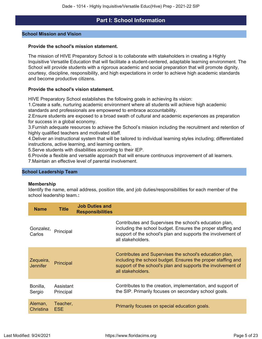## **Part I: School Information**

#### <span id="page-4-0"></span>**School Mission and Vision**

#### **Provide the school's mission statement.**

The mission of HIVE Preparatory School is to collaborate with stakeholders in creating a Highly Inquisitive Versatile Education that will facilitate a student-centered, adaptable learning environment. The School will provide students with a rigorous academic and social preparation that will promote dignity, courtesy, discipline, responsibility, and high expectations in order to achieve high academic standards and become productive citizens.

#### **Provide the school's vision statement.**

HIVE Preparatory School establishes the following goals in achieving its vision:

1.Create a safe, nurturing academic environment where all students will achieve high academic standards and professionals are empowered to embrace accountability.

2.Ensure students are exposed to a broad swath of cultural and academic experiences as preparation for success in a global economy.

3.Furnish adequate resources to achieve the School's mission including the recruitment and retention of highly qualified teachers and motivated staff.

4.Deliver an instructional system that will be tailored to individual learning styles including; differentiated instructions, active learning, and learning centers.

5.Serve students with disabilities according to their IEP.

6.Provide a flexible and versatile approach that will ensure continuous improvement of all learners. 7.Maintain an effective level of parental involvement.

#### **School Leadership Team**

#### **Membership**

Identify the name, email address, position title, and job duties/responsibilities for each member of the school leadership team.**:**

| <b>Name</b>                  | <b>Title</b>           | <b>Job Duties and</b><br><b>Responsibilities</b> |                                                                                                                                                                                                              |
|------------------------------|------------------------|--------------------------------------------------|--------------------------------------------------------------------------------------------------------------------------------------------------------------------------------------------------------------|
| Gonzalez,<br>Carlos          | Principal              |                                                  | Contributes and Supervises the school's education plan,<br>including the school budget. Ensures the proper staffing and<br>support of the school's plan and supports the involvement of<br>all stakeholders. |
| Zequeira,<br><b>Jennifer</b> | Principal              |                                                  | Contributes and Supervises the school's education plan,<br>including the school budget. Ensures the proper staffing and<br>support of the school's plan and supports the involvement of<br>all stakeholders. |
| Bonilla,<br>Sergio           | Assistant<br>Principal |                                                  | Contributes to the creation, implementation, and support of<br>the SIP. Primarily focuses on secondary school goals.                                                                                         |
| Aleman,<br>Christina         | Teacher,<br><b>ESE</b> |                                                  | Primarily focuses on special education goals.                                                                                                                                                                |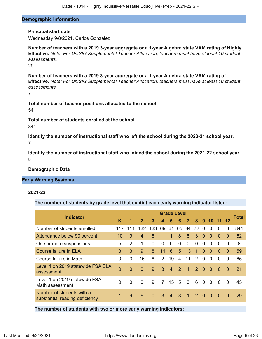#### **Demographic Information**

#### **Principal start date**

Wednesday 9/8/2021, Carlos Gonzalez

**Number of teachers with a 2019 3-year aggregate or a 1-year Algebra state VAM rating of Highly Effective.** *Note: For UniSIG Supplemental Teacher Allocation, teachers must have at least 10 student assessments.*

29

**Number of teachers with a 2019 3-year aggregate or a 1-year Algebra state VAM rating of Effective.** *Note: For UniSIG Supplemental Teacher Allocation, teachers must have at least 10 student assessments.*

7

**Total number of teacher positions allocated to the school** 54

**Total number of students enrolled at the school** 844

**Identify the number of instructional staff who left the school during the 2020-21 school year.** 7

**Identify the number of instructional staff who joined the school during the 2021-22 school year.** 8

**Demographic Data**

#### **Early Warning Systems**

#### **2021-22**

**The number of students by grade level that exhibit each early warning indicator listed:**

| <b>Indicator</b>                                            |                |               |                |          |               | <b>Grade Level</b> |               |                      |               |             |           |          |                | Total |
|-------------------------------------------------------------|----------------|---------------|----------------|----------|---------------|--------------------|---------------|----------------------|---------------|-------------|-----------|----------|----------------|-------|
|                                                             | K              | 1             | $\overline{2}$ | 3        | 4             | 5                  | 6             | $\overline{7}$       | 8             | $9^{\circ}$ | $10^{-7}$ | -11      | 12             |       |
| Number of students enrolled                                 | 117            | 111           | 132            | 133      | 69            | 61                 | 65 84         |                      | 72            | $\Omega$    | $\Omega$  | $\Omega$ | 0              | 844   |
| Attendance below 90 percent                                 | 10             | 9             | 4              | 8        | 1             | 1                  | 8             | 8                    | 3             | $\Omega$    | $\Omega$  | $\Omega$ | $\mathbf{0}$   | 52    |
| One or more suspensions                                     | 5              | $\mathcal{P}$ | 1              | $\Omega$ | 0             | 0                  | 0             | 0                    | $\Omega$      | 0           | $\Omega$  | $\Omega$ | 0              | 8     |
| <b>Course failure in ELA</b>                                | 3              | 3             | 9              | 8        | 11            | $6\phantom{1}6$    | 5             | 13                   | $\mathbf{1}$  | $\Omega$    | $\Omega$  | $\Omega$ | $\mathbf 0$    | 59    |
| Course failure in Math                                      | $\Omega$       | 3             | 16             | 8        | $\mathcal{P}$ | 19                 | 4             | 11                   | $\mathcal{P}$ | $\Omega$    | $\Omega$  | $\Omega$ | 0              | 65    |
| Level 1 on 2019 statewide FSA ELA<br>assessment             | $\overline{0}$ | $\Omega$      | $\Omega$       | 9        | 3             | $\overline{4}$     | $\mathcal{P}$ | $\blacktriangleleft$ | $\mathcal{P}$ | $\Omega$    | $\Omega$  | $\Omega$ | $\Omega$       | 21    |
| Level 1 on 2019 statewide FSA<br>Math assessment            | $\mathbf{0}$   | $\Omega$      | $\Omega$       | 9        | 7             | 15 <sup>15</sup>   | -5            | 3                    | 6             | $\Omega$    | $\Omega$  | $\Omega$ | $\Omega$       | 45    |
| Number of students with a<br>substantial reading deficiency | 1              | 9             | 6              | $\Omega$ | 3             | $\overline{4}$     | 3             | $\mathbf{1}$         | $\mathcal{P}$ | $\Omega$    | $\Omega$  | $\Omega$ | $\overline{0}$ | 29    |

**The number of students with two or more early warning indicators:**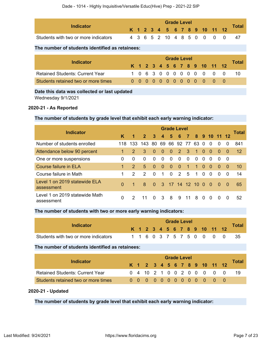| Indicator                            |  |  |  | <b>Grade Level</b> |  |  |                              |                            | $\tau$ otar |
|--------------------------------------|--|--|--|--------------------|--|--|------------------------------|----------------------------|-------------|
|                                      |  |  |  |                    |  |  | K 1 2 3 4 5 6 7 8 9 10 11 12 |                            |             |
| Students with two or more indicators |  |  |  |                    |  |  |                              | 4 3 6 5 2 10 4 8 5 0 0 0 0 | -47         |

### **The number of students identified as retainees:**

|                                        |  |  |  | <b>Grade Level</b> |  |  |                              |       |
|----------------------------------------|--|--|--|--------------------|--|--|------------------------------|-------|
| <b>Indicator</b>                       |  |  |  |                    |  |  | K 1 2 3 4 5 6 7 8 9 10 11 12 | Total |
| <b>Retained Students: Current Year</b> |  |  |  |                    |  |  | 1063000000000                | -10   |
| Students retained two or more times    |  |  |  |                    |  |  | 0000000000000                |       |

#### **Date this data was collected or last updated**

Wednesday 9/1/2021

#### **2020-21 - As Reported**

#### **The number of students by grade level that exhibit each early warning indicator:**

|                                              |          |               |                    |              |                         | <b>Grade Level</b> |                    |                         |              |          |          |          |          |              |
|----------------------------------------------|----------|---------------|--------------------|--------------|-------------------------|--------------------|--------------------|-------------------------|--------------|----------|----------|----------|----------|--------------|
| <b>Indicator</b>                             | K        | 1             | 2 <sup>2</sup>     | $\mathbf{3}$ | $\overline{\mathbf{4}}$ |                    | 5 6 7 8 9 10 11 12 |                         |              |          |          |          |          | <b>Total</b> |
| Number of students enrolled                  | 118.     | 133           | 143 80 69 66 92 77 |              |                         |                    |                    |                         | 63           | $\Omega$ | $\Omega$ | $\Omega$ | $\Omega$ | 841          |
| Attendance below 90 percent                  | 1.       | $\mathcal{P}$ | 3                  | $\Omega$     | $\Omega$                | $\Omega$           | $\overline{2}$     | $\overline{\mathbf{3}}$ | $\mathbf{1}$ | $\Omega$ | $\Omega$ | $\Omega$ | - 0      | 12           |
| One or more suspensions                      | 0        | $\Omega$      | $\Omega$           | $\Omega$     | $\Omega$                | $\Omega$           | $\Omega$           | $\Omega$                | $\Omega$     | $\Omega$ | $\Omega$ | $\Omega$ | - 0      |              |
| Course failure in ELA                        | 1        | $\mathcal{P}$ | $5\overline{5}$    | $\Omega$     | $\Omega$                | $\Omega$           | $\Omega$           | $\mathbf{1}$            | $\mathbf{1}$ | $\Omega$ | $\Omega$ | $\Omega$ | $\Omega$ | 10           |
| Course failure in Math                       | 1        | $\mathcal{P}$ | 2                  | $\Omega$     | 1                       | $\Omega$           | 2                  | 5                       | $\mathbf 1$  | $\Omega$ | $\Omega$ | $\Omega$ | $\Omega$ | 14           |
| Level 1 on 2019 statewide ELA<br>assessment  | $\Omega$ | $\mathbf 1$   | 8                  | $\Omega$     |                         | 3 17 14 12 10      |                    |                         |              | $\Omega$ | $\Omega$ | $\Omega$ | - 0      | 65           |
| Level 1 on 2019 statewide Math<br>assessment | 0        | $\mathcal{P}$ |                    | $\Omega$     | 3                       | - 8                | 9                  | 11                      | 8            | $\Omega$ | $\Omega$ | $\Omega$ | $\Omega$ | 52           |

#### **The number of students with two or more early warning indicators:**

| Indicator                            |  |  |  |  | <b>Grade Level</b> |  |                              |                           |              |
|--------------------------------------|--|--|--|--|--------------------|--|------------------------------|---------------------------|--------------|
|                                      |  |  |  |  |                    |  | K 1 2 3 4 5 6 7 8 9 10 11 12 |                           | <b>Total</b> |
| Students with two or more indicators |  |  |  |  |                    |  |                              | 1 1 6 0 3 7 5 7 5 0 0 0 0 |              |

#### **The number of students identified as retainees:**

|                                        |  |  |  |  | <b>Grade Level</b> |  |                              |  |              |
|----------------------------------------|--|--|--|--|--------------------|--|------------------------------|--|--------------|
| <b>Indicator</b>                       |  |  |  |  |                    |  | K 1 2 3 4 5 6 7 8 9 10 11 12 |  | <b>Total</b> |
| <b>Retained Students: Current Year</b> |  |  |  |  |                    |  | 0 4 10 2 1 0 0 2 0 0 0 0 0   |  | -19          |
| Students retained two or more times    |  |  |  |  |                    |  | 0000000000000                |  |              |

### **2020-21 - Updated**

**The number of students by grade level that exhibit each early warning indicator:**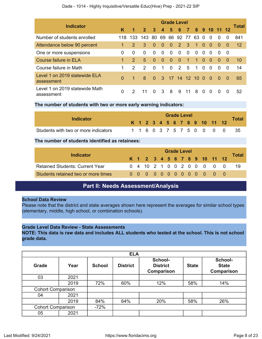|  | Dade - 1014 - Highly Inquisitive/Versatile Educ(Hive) Prep - 2021-22 SIP |  |  |
|--|--------------------------------------------------------------------------|--|--|
|--|--------------------------------------------------------------------------|--|--|

| <b>Indicator</b>                             |              |               |                |              |                         | <b>Grade Level</b> |               |          |              |          |              |              |          | Total |
|----------------------------------------------|--------------|---------------|----------------|--------------|-------------------------|--------------------|---------------|----------|--------------|----------|--------------|--------------|----------|-------|
|                                              | K            | 1             | 2 <sup>1</sup> | $\mathbf{3}$ | $\overline{\mathbf{4}}$ | 5                  | 6             | $\sim$ 7 |              |          | 8 9 10 11 12 |              |          |       |
| Number of students enrolled                  | 118          | 133           | 143            | 80           | 69                      | 66 92 77           |               |          | 63 O         |          | $\Omega$     | $\Omega$     | $\Omega$ | 841   |
| Attendance below 90 percent                  |              | $\mathcal{P}$ | 3              | $\Omega$     | $\Omega$                | $\Omega$           | $2 \quad 3$   |          | $\mathbf{1}$ | $\Omega$ | $\Omega$     | $\Omega$     | $\Omega$ | 12    |
| One or more suspensions                      | 0            | $\Omega$      | $\Omega$       | $\Omega$     | $\Omega$                | $\Omega$           | $\Omega$      | $\Omega$ | $\Omega$     | $\Omega$ | $\Omega$     | <sup>0</sup> | - 0      |       |
| <b>Course failure in ELA</b>                 | 1            | $\mathcal{P}$ | 5              | $\Omega$     | $\Omega$                | $\overline{0}$     | $\Omega$      | 1        | $\mathbf 1$  | $\Omega$ | $\Omega$     | $\Omega$     | $\Omega$ | 10    |
| Course failure in Math                       |              | $\mathcal{P}$ | $\mathcal{P}$  | $\Omega$     | 1                       | $\Omega$           | $\mathcal{P}$ | 5        | 1            | $\Omega$ | $\Omega$     | $\Omega$     | $\Omega$ | 14    |
| Level 1 on 2019 statewide ELA<br>assessment  | $\Omega$     | 1             | 8              | $\Omega$     |                         | 3 17 14 12 10 0    |               |          |              |          | $\Omega$     | $\Omega$     | $\Omega$ | 65    |
| Level 1 on 2019 statewide Math<br>assessment | <sup>0</sup> | 2             |                |              | 3                       | -8                 | 9             | 11       | 8            | $\Omega$ | $\Omega$     | $\Omega$     | $\Omega$ | 52    |

#### **The number of students with two or more early warning indicators:**

| Indicator                            |  |  |  | <b>Grade Level</b> |  |  |                              |                           |              |
|--------------------------------------|--|--|--|--------------------|--|--|------------------------------|---------------------------|--------------|
|                                      |  |  |  |                    |  |  | K 1 2 3 4 5 6 7 8 9 10 11 12 |                           | <b>Total</b> |
| Students with two or more indicators |  |  |  |                    |  |  |                              | 1 1 6 0 3 7 5 7 5 0 0 0 0 |              |

#### **The number of students identified as retainees:**

|                                        |  | <b>Grade Level</b> |  |  |  |  |  |  |  |                              |  |       |
|----------------------------------------|--|--------------------|--|--|--|--|--|--|--|------------------------------|--|-------|
| Indicator                              |  |                    |  |  |  |  |  |  |  | K 1 2 3 4 5 6 7 8 9 10 11 12 |  | Total |
| <b>Retained Students: Current Year</b> |  |                    |  |  |  |  |  |  |  | 0 4 10 2 1 0 0 2 0 0 0 0 0   |  | -19   |
| Students retained two or more times    |  |                    |  |  |  |  |  |  |  | 0 0 0 0 0 0 0 0 0 0 0 0      |  |       |

## **Part II: Needs Assessment/Analysis**

#### <span id="page-7-0"></span>**School Data Review**

Please note that the district and state averages shown here represent the averages for similar school types (elementary, middle, high school, or combination schools).

### **Grade Level Data Review - State Assessments**

**NOTE: This data is raw data and includes ALL students who tested at the school. This is not school grade data.**

|                          | <b>ELA</b>               |               |                 |                                          |              |                                              |  |  |  |  |  |
|--------------------------|--------------------------|---------------|-----------------|------------------------------------------|--------------|----------------------------------------------|--|--|--|--|--|
| Grade                    | Year                     | <b>School</b> | <b>District</b> | School-<br><b>District</b><br>Comparison | <b>State</b> | School-<br><b>State</b><br><b>Comparison</b> |  |  |  |  |  |
| 03                       | 2021                     |               |                 |                                          |              |                                              |  |  |  |  |  |
|                          | 2019                     | 72%           | 60%             | 12%                                      | 58%          | 14%                                          |  |  |  |  |  |
| <b>Cohort Comparison</b> |                          |               |                 |                                          |              |                                              |  |  |  |  |  |
| 04                       | 2021                     |               |                 |                                          |              |                                              |  |  |  |  |  |
|                          | 2019                     | 84%           | 64%             | 20%                                      | 58%          | 26%                                          |  |  |  |  |  |
|                          | <b>Cohort Comparison</b> |               |                 |                                          |              |                                              |  |  |  |  |  |
| 05                       | 2021                     |               |                 |                                          |              |                                              |  |  |  |  |  |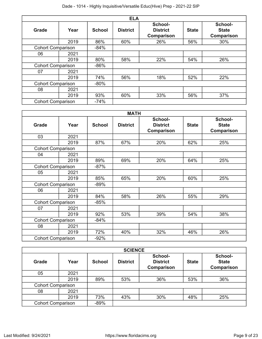|                          | <b>ELA</b>               |               |                 |                                          |              |                                              |  |  |  |  |  |
|--------------------------|--------------------------|---------------|-----------------|------------------------------------------|--------------|----------------------------------------------|--|--|--|--|--|
| <b>Grade</b>             | Year                     | <b>School</b> | <b>District</b> | School-<br><b>District</b><br>Comparison | <b>State</b> | School-<br><b>State</b><br><b>Comparison</b> |  |  |  |  |  |
|                          | 2019                     | 86%           | 60%             | 26%                                      | 56%          | 30%                                          |  |  |  |  |  |
|                          | <b>Cohort Comparison</b> |               |                 |                                          |              |                                              |  |  |  |  |  |
| 06                       | 2021                     |               |                 |                                          |              |                                              |  |  |  |  |  |
|                          | 2019                     | 80%           | 58%             | 22%                                      | 54%          | 26%                                          |  |  |  |  |  |
| <b>Cohort Comparison</b> |                          | $-86%$        |                 |                                          |              |                                              |  |  |  |  |  |
| 07                       | 2021                     |               |                 |                                          |              |                                              |  |  |  |  |  |
|                          | 2019                     | 74%           | 56%             | 18%                                      | 52%          | 22%                                          |  |  |  |  |  |
| <b>Cohort Comparison</b> |                          | $-80%$        |                 |                                          |              |                                              |  |  |  |  |  |
| 08                       | 2021                     |               |                 |                                          |              |                                              |  |  |  |  |  |
|                          | 2019                     | 93%           | 60%             | 33%                                      | 56%          | 37%                                          |  |  |  |  |  |
| <b>Cohort Comparison</b> |                          | $-74%$        |                 |                                          |              |                                              |  |  |  |  |  |

|                          |      |               | <b>MATH</b>     |                                          |              |                                       |
|--------------------------|------|---------------|-----------------|------------------------------------------|--------------|---------------------------------------|
| Grade                    | Year | <b>School</b> | <b>District</b> | School-<br><b>District</b><br>Comparison | <b>State</b> | School-<br><b>State</b><br>Comparison |
| 03                       | 2021 |               |                 |                                          |              |                                       |
|                          | 2019 | 87%           | 67%             | 20%                                      | 62%          | 25%                                   |
| <b>Cohort Comparison</b> |      |               |                 |                                          |              |                                       |
| 04                       | 2021 |               |                 |                                          |              |                                       |
|                          | 2019 | 89%           | 69%             | 20%                                      | 64%          | 25%                                   |
| <b>Cohort Comparison</b> |      | $-87%$        |                 |                                          |              |                                       |
| 05                       | 2021 |               |                 |                                          |              |                                       |
|                          | 2019 | 85%           | 65%             | 20%                                      | 60%          | 25%                                   |
| <b>Cohort Comparison</b> |      | $-89%$        |                 |                                          |              |                                       |
| 06                       | 2021 |               |                 |                                          |              |                                       |
|                          | 2019 | 84%           | 58%             | 26%                                      | 55%          | 29%                                   |
| <b>Cohort Comparison</b> |      | $-85%$        |                 |                                          |              |                                       |
| 07                       | 2021 |               |                 |                                          |              |                                       |
|                          | 2019 | 92%           | 53%             | 39%                                      | 54%          | 38%                                   |
| <b>Cohort Comparison</b> |      | $-84%$        |                 |                                          |              |                                       |
| 08                       | 2021 |               |                 |                                          |              |                                       |
|                          | 2019 | 72%           | 40%             | 32%                                      | 46%          | 26%                                   |
| <b>Cohort Comparison</b> |      | $-92%$        |                 |                                          |              |                                       |

|                          | <b>SCIENCE</b> |               |                 |                                                 |              |                                              |  |  |  |  |  |
|--------------------------|----------------|---------------|-----------------|-------------------------------------------------|--------------|----------------------------------------------|--|--|--|--|--|
| Grade                    | Year           | <b>School</b> | <b>District</b> | School-<br><b>District</b><br><b>Comparison</b> | <b>State</b> | School-<br><b>State</b><br><b>Comparison</b> |  |  |  |  |  |
| 05                       | 2021           |               |                 |                                                 |              |                                              |  |  |  |  |  |
|                          | 2019           | 89%           | 53%             | 36%                                             | 53%          | 36%                                          |  |  |  |  |  |
| <b>Cohort Comparison</b> |                |               |                 |                                                 |              |                                              |  |  |  |  |  |
| 08                       | 2021           |               |                 |                                                 |              |                                              |  |  |  |  |  |
|                          | 2019           | 73%           | 43%             | 30%                                             | 48%          | 25%                                          |  |  |  |  |  |
| <b>Cohort Comparison</b> |                | $-89%$        |                 |                                                 |              |                                              |  |  |  |  |  |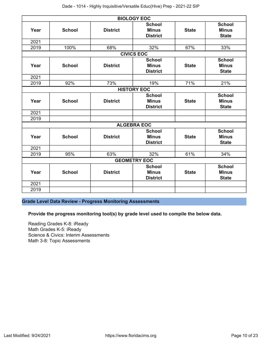|      |               |                 | <b>BIOLOGY EOC</b>                               |              |                                               |
|------|---------------|-----------------|--------------------------------------------------|--------------|-----------------------------------------------|
| Year | <b>School</b> | <b>District</b> | <b>School</b><br><b>Minus</b><br><b>District</b> | <b>State</b> | <b>School</b><br><b>Minus</b><br><b>State</b> |
| 2021 |               |                 |                                                  |              |                                               |
| 2019 | 100%          | 68%             | 32%                                              | 67%          | 33%                                           |
|      |               |                 | <b>CIVICS EOC</b>                                |              |                                               |
| Year | <b>School</b> | <b>District</b> | <b>School</b><br><b>Minus</b><br><b>District</b> | <b>State</b> | <b>School</b><br><b>Minus</b><br><b>State</b> |
| 2021 |               |                 |                                                  |              |                                               |
| 2019 | 92%           | 73%             | 19%                                              | 71%          | 21%                                           |
|      |               |                 | <b>HISTORY EOC</b>                               |              |                                               |
| Year | <b>School</b> | <b>District</b> | <b>School</b><br><b>Minus</b><br><b>District</b> | <b>State</b> | <b>School</b><br><b>Minus</b><br><b>State</b> |
| 2021 |               |                 |                                                  |              |                                               |
| 2019 |               |                 |                                                  |              |                                               |
|      |               |                 | <b>ALGEBRA EOC</b>                               |              |                                               |
| Year | <b>School</b> | <b>District</b> | <b>School</b><br><b>Minus</b><br><b>District</b> | <b>State</b> | <b>School</b><br><b>Minus</b><br><b>State</b> |
| 2021 |               |                 |                                                  |              |                                               |
| 2019 | 95%           | 63%             | 32%                                              | 61%          | 34%                                           |
|      |               |                 | <b>GEOMETRY EOC</b>                              |              |                                               |
| Year | <b>School</b> | <b>District</b> | <b>School</b><br><b>Minus</b><br><b>District</b> | <b>State</b> | <b>School</b><br><b>Minus</b><br><b>State</b> |
| 2021 |               |                 |                                                  |              |                                               |
| 2019 |               |                 |                                                  |              |                                               |

**Grade Level Data Review - Progress Monitoring Assessments**

**Provide the progress monitoring tool(s) by grade level used to compile the below data.**

Reading Grades K-8: iReady Math Grades K-5: iReady Science & Civics: Interim Assessments Math 3-8: Topic Assessments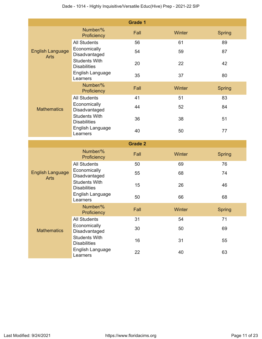|                                        |                                                                 | <b>Grade 1</b> |        |               |  |  |  |  |  |
|----------------------------------------|-----------------------------------------------------------------|----------------|--------|---------------|--|--|--|--|--|
|                                        | Number/%<br>Proficiency                                         | Fall           | Winter | <b>Spring</b> |  |  |  |  |  |
|                                        | <b>All Students</b>                                             | 56             | 61     | 89            |  |  |  |  |  |
| <b>English Language</b><br><b>Arts</b> | Economically<br>Disadvantaged                                   | 54             | 59     | 87            |  |  |  |  |  |
|                                        | <b>Students With</b><br><b>Disabilities</b>                     | 20             | 22     | 42            |  |  |  |  |  |
|                                        | English Language<br>Learners                                    | 35             | 37     | 80            |  |  |  |  |  |
| <b>Mathematics</b>                     | Number/%<br>Proficiency                                         | Fall           | Winter | <b>Spring</b> |  |  |  |  |  |
|                                        | <b>All Students</b>                                             | 41             | 51     | 83            |  |  |  |  |  |
|                                        | Economically<br>Disadvantaged                                   | 44             | 52     | 84            |  |  |  |  |  |
|                                        | <b>Students With</b><br><b>Disabilities</b>                     | 36             | 38     | 51            |  |  |  |  |  |
|                                        | English Language<br>Learners                                    | 40             | 50     | 77            |  |  |  |  |  |
| <b>Grade 2</b>                         |                                                                 |                |        |               |  |  |  |  |  |
|                                        |                                                                 |                |        |               |  |  |  |  |  |
|                                        | Number/%<br>Proficiency                                         | Fall           | Winter | <b>Spring</b> |  |  |  |  |  |
|                                        | <b>All Students</b>                                             | 50             | 69     | 76            |  |  |  |  |  |
| <b>English Language</b><br><b>Arts</b> | Economically<br>Disadvantaged                                   | 55             | 68     | 74            |  |  |  |  |  |
|                                        | <b>Students With</b><br><b>Disabilities</b>                     | 15             | 26     | 46            |  |  |  |  |  |
|                                        | English Language<br>Learners                                    | 50             | 66     | 68            |  |  |  |  |  |
|                                        | Number/%<br>Proficiency                                         | Fall           | Winter | Spring        |  |  |  |  |  |
|                                        | <b>All Students</b>                                             | 31             | 54     | 71            |  |  |  |  |  |
| <b>Mathematics</b>                     | Economically<br>Disadvantaged                                   | 30             | 50     | 69            |  |  |  |  |  |
|                                        | <b>Students With</b><br><b>Disabilities</b><br>English Language | 16             | 31     | 55            |  |  |  |  |  |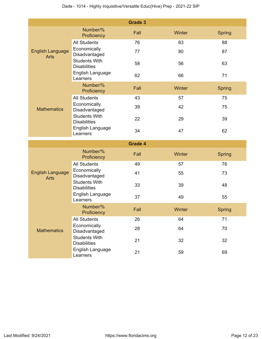|                                        |                                                                 | <b>Grade 3</b> |        |               |  |  |  |  |  |
|----------------------------------------|-----------------------------------------------------------------|----------------|--------|---------------|--|--|--|--|--|
|                                        | Number/%<br>Proficiency                                         | Fall           | Winter | <b>Spring</b> |  |  |  |  |  |
|                                        | <b>All Students</b>                                             | 76             | 83     | 88            |  |  |  |  |  |
| <b>English Language</b><br><b>Arts</b> | Economically<br>Disadvantaged                                   | 77             | 80     | 87            |  |  |  |  |  |
|                                        | <b>Students With</b><br><b>Disabilities</b>                     | 58             | 56     | 63            |  |  |  |  |  |
|                                        | English Language<br>Learners                                    | 62             | 66     | 71            |  |  |  |  |  |
| <b>Mathematics</b>                     | Number/%<br>Proficiency                                         | Fall           | Winter | <b>Spring</b> |  |  |  |  |  |
|                                        | <b>All Students</b>                                             | 43             | 57     | 75            |  |  |  |  |  |
|                                        | Economically<br>Disadvantaged                                   | 39             | 42     | 75            |  |  |  |  |  |
|                                        | <b>Students With</b><br><b>Disabilities</b>                     | 22             | 29     | 39            |  |  |  |  |  |
|                                        | English Language<br>Learners                                    | 34             | 47     | 62            |  |  |  |  |  |
| <b>Grade 4</b>                         |                                                                 |                |        |               |  |  |  |  |  |
|                                        |                                                                 |                |        |               |  |  |  |  |  |
|                                        | Number/%<br>Proficiency                                         | Fall           | Winter | <b>Spring</b> |  |  |  |  |  |
|                                        | <b>All Students</b>                                             | 49             | 57     | 76            |  |  |  |  |  |
| <b>English Language</b><br><b>Arts</b> | Economically<br>Disadvantaged                                   | 41             | 55     | 73            |  |  |  |  |  |
|                                        | <b>Students With</b><br><b>Disabilities</b>                     | 33             | 39     | 48            |  |  |  |  |  |
|                                        | English Language<br>Learners                                    | 37             | 49     | 55            |  |  |  |  |  |
|                                        | Number/%<br>Proficiency                                         | Fall           | Winter | <b>Spring</b> |  |  |  |  |  |
|                                        | <b>All Students</b>                                             | 26             | 64     | 71            |  |  |  |  |  |
| <b>Mathematics</b>                     | Economically<br>Disadvantaged                                   | 28             | 64     | 70            |  |  |  |  |  |
|                                        | <b>Students With</b><br><b>Disabilities</b><br>English Language | 21             | 32     | 32            |  |  |  |  |  |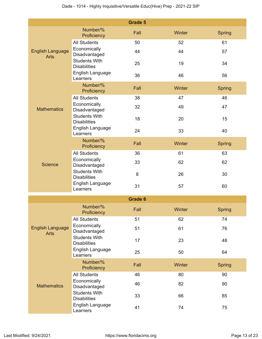|                                        |                                             | <b>Grade 5</b> |        |               |
|----------------------------------------|---------------------------------------------|----------------|--------|---------------|
|                                        | Number/%<br>Proficiency                     | Fall           | Winter | <b>Spring</b> |
|                                        | <b>All Students</b>                         | 50             | 52     | 61            |
| <b>English Language</b><br><b>Arts</b> | Economically<br>Disadvantaged               | 44             | 44     | 57            |
|                                        | <b>Students With</b><br><b>Disabilities</b> | 25             | 19     | 34            |
|                                        | English Language<br>Learners                | 36             | 46     | 56            |
|                                        | Number/%<br>Proficiency                     | Fall           | Winter | <b>Spring</b> |
|                                        | <b>All Students</b>                         | 38             | 47     | 46            |
| <b>Mathematics</b>                     | Economically<br>Disadvantaged               | 32             | 49     | 47            |
|                                        | <b>Students With</b><br><b>Disabilities</b> | 18             | 20     | 15            |
|                                        | English Language<br>Learners                | 24             | 33     | 40            |
|                                        | Number/%<br>Proficiency                     | Fall           | Winter | <b>Spring</b> |
|                                        | <b>All Students</b>                         | 36             | 61     | 63            |
| <b>Science</b>                         | Economically<br>Disadvantaged               | 33             | 62     | 62            |
|                                        | <b>Students With</b><br><b>Disabilities</b> | 8              | 26     | 30            |
|                                        | English Language<br>Learners                | 31             | 57     | 60            |
|                                        |                                             | <b>Grade 6</b> |        |               |
|                                        | Number/%<br>Proficiency                     | Fall           | Winter | <b>Spring</b> |
|                                        | <b>All Students</b>                         | 51             | 62     | 74            |
| <b>English Language</b><br><b>Arts</b> | Economically<br>Disadvantaged               | 51             | 61     | 76            |
|                                        | <b>Students With</b><br><b>Disabilities</b> | 17             | 23     | 48            |
|                                        | English Language<br>Learners                | 25             | 50     | 64            |
|                                        | Number/%<br>Proficiency                     | Fall           | Winter | <b>Spring</b> |
|                                        | <b>All Students</b>                         | 46             | 80     | 90            |
| <b>Mathematics</b>                     | Economically<br>Disadvantaged               | 46             | 82     | 90            |
|                                        | <b>Students With</b><br><b>Disabilities</b> | 33             | 66     | 85            |
|                                        | English Language<br>Learners                | 41             | 74     | 75            |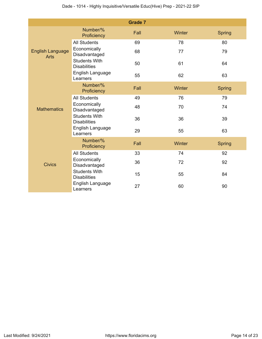|                                        |                                             | <b>Grade 7</b> |        |               |
|----------------------------------------|---------------------------------------------|----------------|--------|---------------|
|                                        | Number/%<br>Proficiency                     | Fall           | Winter | <b>Spring</b> |
|                                        | <b>All Students</b>                         | 69             | 78     | 80            |
| <b>English Language</b><br><b>Arts</b> | Economically<br>Disadvantaged               | 68             | 77     | 79            |
|                                        | <b>Students With</b><br><b>Disabilities</b> | 50             | 61     | 64            |
|                                        | English Language<br>Learners                | 55             | 62     | 63            |
|                                        | Number/%<br>Proficiency                     | Fall           | Winter | <b>Spring</b> |
|                                        | <b>All Students</b>                         | 49             | 76     | 79            |
| <b>Mathematics</b>                     | Economically<br>Disadvantaged               | 48             | 70     | 74            |
|                                        | <b>Students With</b><br><b>Disabilities</b> | 36             | 36     | 39            |
|                                        | English Language<br>Learners                | 29             | 55     | 63            |
|                                        | Number/%<br>Proficiency                     | Fall           | Winter | <b>Spring</b> |
|                                        | <b>All Students</b>                         | 33             | 74     | 92            |
| <b>Civics</b>                          | Economically<br>Disadvantaged               | 36             | 72     | 92            |
|                                        | <b>Students With</b><br><b>Disabilities</b> | 15             | 55     | 84            |
|                                        | English Language<br>Learners                | 27             | 60     | 90            |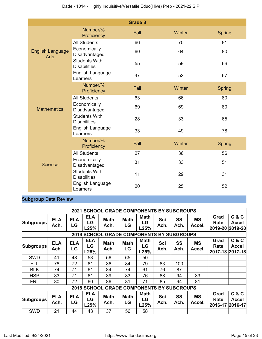|                                        |                                             | <b>Grade 8</b> |        |               |
|----------------------------------------|---------------------------------------------|----------------|--------|---------------|
|                                        | Number/%<br>Proficiency                     | Fall           | Winter | <b>Spring</b> |
|                                        | <b>All Students</b>                         | 66             | 70     | 81            |
| <b>English Language</b><br><b>Arts</b> | Economically<br>Disadvantaged               | 60             | 64     | 80            |
|                                        | <b>Students With</b><br><b>Disabilities</b> | 55             | 59     | 66            |
|                                        | English Language<br>Learners                | 47             | 52     | 67            |
|                                        | Number/%<br>Proficiency                     | Fall           | Winter | <b>Spring</b> |
|                                        | <b>All Students</b>                         | 63             | 66     | 80            |
| <b>Mathematics</b>                     | Economically<br>Disadvantaged               | 69             | 69     | 80            |
|                                        | <b>Students With</b><br><b>Disabilities</b> | 28             | 33     | 65            |
|                                        | English Language<br>Learners                | 33             | 49     | 78            |
|                                        | Number/%<br>Proficiency                     | Fall           | Winter | <b>Spring</b> |
|                                        | <b>All Students</b>                         | 27             | 36     | 56            |
| Science                                | Economically<br>Disadvantaged               | 31             | 33     | 51            |
|                                        | <b>Students With</b><br><b>Disabilities</b> | 11             | 29     | 31            |
|                                        | English Language<br>Learners                | 20             | 25     | 52            |

## **Subgroup Data Review**

|                                                            |                    |                  |                          | <b>2021 SCHOOL GRADE COMPONENTS BY SUBGROUPS</b> |                   |                                      |             |                   |                     |                                 |                                            |
|------------------------------------------------------------|--------------------|------------------|--------------------------|--------------------------------------------------|-------------------|--------------------------------------|-------------|-------------------|---------------------|---------------------------------|--------------------------------------------|
| <b>Subgroups</b>                                           | <b>ELA</b><br>Ach. | <b>ELA</b><br>LG | <b>ELA</b><br>LG<br>L25% | <b>Math</b><br>Ach.                              | Math<br>LG        | <b>Math</b><br>LG<br>L25%            | Sci<br>Ach. | <b>SS</b><br>Ach. | <b>MS</b><br>Accel. | Grad<br>Rate<br>2019-20 2019-20 | C & C<br>Accel                             |
| <b>2019 SCHOOL</b><br><b>GRADE COMPONENTS BY SUBGROUPS</b> |                    |                  |                          |                                                  |                   |                                      |             |                   |                     |                                 |                                            |
| <b>Subgroups</b>                                           | <b>ELA</b><br>Ach. | <b>ELA</b><br>LG | <b>ELA</b><br>LG<br>L25% | <b>Math</b><br>Ach.                              | <b>Math</b><br>LG | <b>Math</b><br>LG<br>L25%            | Sci<br>Ach. | <b>SS</b><br>Ach. | <b>MS</b><br>Accel. | Grad<br>Rate                    | <b>C&amp;C</b><br>Accel<br>2017-18 2017-18 |
| <b>SWD</b>                                                 | 41                 | 48               | 53                       | 56                                               | 65                | 50                                   |             |                   |                     |                                 |                                            |
| <b>ELL</b>                                                 | 78                 | 72               | 61                       | 86                                               | 84                | 79                                   | 83          | 100               |                     |                                 |                                            |
| <b>BLK</b>                                                 | 74                 | 71               | 61                       | 84                                               | 74                | 61                                   | 76          | 87                |                     |                                 |                                            |
| <b>HSP</b>                                                 | 83                 | 71               | 61                       | 89                                               | 83                | 76                                   | 88          | 94                | 83                  |                                 |                                            |
| <b>FRL</b>                                                 | 80                 | 72               | 60                       | 86                                               | 81                | 71                                   | 85          | 94                | 81                  |                                 |                                            |
|                                                            |                    |                  | <b>2018 SCHOOL</b>       |                                                  |                   | <b>GRADE COMPONENTS BY SUBGROUPS</b> |             |                   |                     |                                 |                                            |
| <b>Subgroups</b>                                           | <b>ELA</b><br>Ach. | <b>ELA</b><br>LG | <b>ELA</b><br>LG<br>L25% | <b>Math</b><br>Ach.                              | <b>Math</b><br>LG | <b>Math</b><br>LG<br>L25%            | Sci<br>Ach. | <b>SS</b><br>Ach. | <b>MS</b><br>Accel. | Grad<br>Rate<br>2016-17         | C & C<br>Accel<br>2016-17                  |
| <b>SWD</b>                                                 | 21                 | 44               | 43                       | 37                                               | 56                | 58                                   |             |                   |                     |                                 |                                            |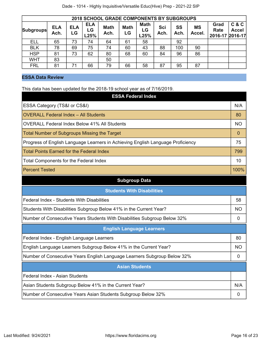| 2018 SCHOOL GRADE COMPONENTS BY SUBGROUPS |                    |                  |                          |                     |                   |                           |             |            |                     |                                 |                       |
|-------------------------------------------|--------------------|------------------|--------------------------|---------------------|-------------------|---------------------------|-------------|------------|---------------------|---------------------------------|-----------------------|
| <b>Subgroups</b>                          | <b>ELA</b><br>Ach. | <b>ELA</b><br>LG | <b>ELA</b><br>LG<br>L25% | <b>Math</b><br>Ach. | <b>Math</b><br>LG | <b>Math</b><br>LG<br>L25% | Sci<br>Ach. | SS<br>Ach. | <b>MS</b><br>Accel. | Grad<br>Rate<br>2016-17 2016-17 | C & C<br><b>Accel</b> |
| <b>ELL</b>                                | 65                 | 73               | 74                       | 64                  | 61                | 58                        |             | 92         |                     |                                 |                       |
| <b>BLK</b>                                | 78                 | 69               | 75                       | 74                  | 60                | 43                        | 88          | 100        | 90                  |                                 |                       |
| <b>HSP</b>                                | 81                 | 73               | 62                       | 80                  | 68                | 60                        | 84          | 96         | 86                  |                                 |                       |
| <b>WHT</b>                                | 83                 |                  |                          | 50                  |                   |                           |             |            |                     |                                 |                       |
| <b>FRL</b>                                | 81                 | 71               | 66                       | 79                  | 66                | 58                        | 87          | 95         | 87                  |                                 |                       |

## **ESSA Data Review**

This data has been updated for the 2018-19 school year as of 7/16/2019.

| <b>ESSA Federal Index</b>                                                       |             |
|---------------------------------------------------------------------------------|-------------|
| ESSA Category (TS&I or CS&I)                                                    | N/A         |
| <b>OVERALL Federal Index - All Students</b>                                     | 80          |
| <b>OVERALL Federal Index Below 41% All Students</b>                             | <b>NO</b>   |
| <b>Total Number of Subgroups Missing the Target</b>                             | 0           |
| Progress of English Language Learners in Achieving English Language Proficiency | 75          |
| <b>Total Points Earned for the Federal Index</b>                                | 799         |
| <b>Total Components for the Federal Index</b>                                   | 10          |
| <b>Percent Tested</b>                                                           | 100%        |
| <b>Subgroup Data</b>                                                            |             |
| <b>Students With Disabilities</b>                                               |             |
| Federal Index - Students With Disabilities                                      | 58          |
| Students With Disabilities Subgroup Below 41% in the Current Year?              | <b>NO</b>   |
| Number of Consecutive Years Students With Disabilities Subgroup Below 32%       | $\Omega$    |
| <b>English Language Learners</b>                                                |             |
| Federal Index - English Language Learners                                       | 80          |
| English Language Learners Subgroup Below 41% in the Current Year?               | ΝO          |
| Number of Consecutive Years English Language Learners Subgroup Below 32%        | $\mathbf 0$ |
| <b>Asian Students</b>                                                           |             |
| Federal Index - Asian Students                                                  |             |
| Asian Students Subgroup Below 41% in the Current Year?                          | N/A         |
| Number of Consecutive Years Asian Students Subgroup Below 32%                   | 0           |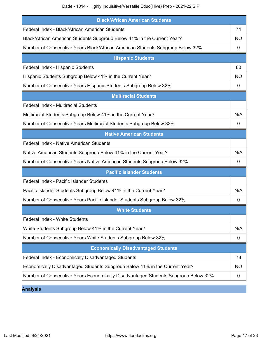Dade - 1014 - Highly Inquisitive/Versatile Educ(Hive) Prep - 2021-22 SIP

| <b>Black/African American Students</b>                                             |             |
|------------------------------------------------------------------------------------|-------------|
| Federal Index - Black/African American Students                                    | 74          |
| Black/African American Students Subgroup Below 41% in the Current Year?            | <b>NO</b>   |
| Number of Consecutive Years Black/African American Students Subgroup Below 32%     | 0           |
| <b>Hispanic Students</b>                                                           |             |
| Federal Index - Hispanic Students                                                  | 80          |
| Hispanic Students Subgroup Below 41% in the Current Year?                          | NO          |
| Number of Consecutive Years Hispanic Students Subgroup Below 32%                   | 0           |
| <b>Multiracial Students</b>                                                        |             |
| <b>Federal Index - Multiracial Students</b>                                        |             |
| Multiracial Students Subgroup Below 41% in the Current Year?                       | N/A         |
| Number of Consecutive Years Multiracial Students Subgroup Below 32%                | 0           |
| <b>Native American Students</b>                                                    |             |
| <b>Federal Index - Native American Students</b>                                    |             |
| Native American Students Subgroup Below 41% in the Current Year?                   | N/A         |
| Number of Consecutive Years Native American Students Subgroup Below 32%            | $\mathbf 0$ |
| <b>Pacific Islander Students</b>                                                   |             |
| Federal Index - Pacific Islander Students                                          |             |
| Pacific Islander Students Subgroup Below 41% in the Current Year?                  | N/A         |
| Number of Consecutive Years Pacific Islander Students Subgroup Below 32%           | 0           |
| <b>White Students</b>                                                              |             |
| <b>Federal Index - White Students</b>                                              |             |
| White Students Subgroup Below 41% in the Current Year?                             | N/A         |
| Number of Consecutive Years White Students Subgroup Below 32%                      | 0           |
| <b>Economically Disadvantaged Students</b>                                         |             |
| Federal Index - Economically Disadvantaged Students                                | 78          |
| Economically Disadvantaged Students Subgroup Below 41% in the Current Year?        | <b>NO</b>   |
| Number of Consecutive Years Economically Disadvantaged Students Subgroup Below 32% | 0           |

**Analysis**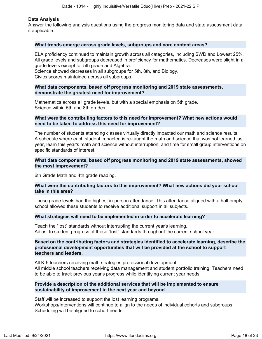#### **Data Analysis**

Answer the following analysis questions using the progress monitoring data and state assessment data, if applicable.

#### **What trends emerge across grade levels, subgroups and core content areas?**

ELA proficiency continued to maintain growth across all categories, including SWD and Lowest 25%. All grade levels and subgroups decreased in proficiency for mathematics. Decreases were slight in all grade levels except for 5th grade and Algebra.

Science showed decreases in all subgroups for 5th, 8th, and Biology.

Civics scores maintained across all subgroups.

#### **What data components, based off progress monitoring and 2019 state assessments, demonstrate the greatest need for improvement?**

Mathematics across all grade levels, but with a special emphasis on 5th grade. Science within 5th and 8th grades.

#### **What were the contributing factors to this need for improvement? What new actions would need to be taken to address this need for improvement?**

The number of students attending classes virtually directly impacted our math and science results. A schedule where each student impacted is re-taught the math and science that was not learned last year, learn this year's math and science without interruption, and time for small group interventions on specific standards of interest.

#### **What data components, based off progress monitoring and 2019 state assessments, showed the most improvement?**

6th Grade Math and 4th grade reading.

#### **What were the contributing factors to this improvement? What new actions did your school take in this area?**

These grade levels had the highest in-person attendance. This attendance aligned with a half empty school allowed these students to receive additional support in all subjects.

#### **What strategies will need to be implemented in order to accelerate learning?**

Teach the "lost" standards without interrupting the current year's learning. Adjust to student progress of these "lost" standards throughout the current school year.

#### **Based on the contributing factors and strategies identified to accelerate learning, describe the professional development opportunities that will be provided at the school to support teachers and leaders.**

All K-5 teachers receiving math strategies professional development. All middle school teachers receiving data management and student portfolio training. Teachers need to be able to track previous year's progress while identifying current year needs.

#### **Provide a description of the additional services that will be implemented to ensure sustainability of improvement in the next year and beyond.**

Staff will be increased to support the lost learning programs. Workshops/Interventions will continue to align to the needs of individual cohorts and subgroups. Scheduling will be aligned to cohort needs.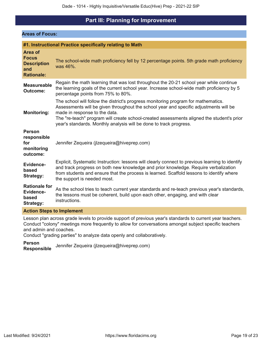## **Part III: Planning for Improvement**

#### <span id="page-18-0"></span>**Areas of Focus:**

|                                                                           | #1. Instructional Practice specifically relating to Math                                                                                                                                                                                                                                                                                                                        |
|---------------------------------------------------------------------------|---------------------------------------------------------------------------------------------------------------------------------------------------------------------------------------------------------------------------------------------------------------------------------------------------------------------------------------------------------------------------------|
| Area of<br><b>Focus</b><br><b>Description</b><br>and<br><b>Rationale:</b> | The school-wide math proficiency fell by 12 percentage points. 5th grade math proficiency<br>was 46%.                                                                                                                                                                                                                                                                           |
| <b>Measureable</b><br><b>Outcome:</b>                                     | Regain the math learning that was lost throughout the 20-21 school year while continue<br>the learning goals of the current school year. Increase school-wide math proficiency by 5<br>percentage points from 75% to 80%.                                                                                                                                                       |
| <b>Monitoring:</b>                                                        | The school will follow the district's progress monitoring program for mathematics.<br>Assessments will be given throughout the school year and specific adjustments will be<br>made in response to the data.<br>The "re-teach" program will create school-created assessments aligned the student's prior<br>year's standards. Monthly analysis will be done to track progress. |
| <b>Person</b><br>responsible<br>for<br>monitoring<br>outcome:             | Jennifer Zequeira (jlzequeira@hiveprep.com)                                                                                                                                                                                                                                                                                                                                     |
| <b>Evidence-</b><br>based<br><b>Strategy:</b>                             | Explicit, Systematic Instruction: lessons will clearly connect to previous learning to identify<br>and track progress on both new knowledge and prior knowledge. Require verbalization<br>from students and ensure that the process is learned. Scaffold lessons to identify where<br>the support is needed most.                                                               |
| <b>Rationale for</b><br><b>Evidence-</b><br>based<br><b>Strategy:</b>     | As the school tries to teach current year standards and re-teach previous year's standards,<br>the lessons must be coherent, build upon each other, engaging, and with clear<br>instructions.                                                                                                                                                                                   |
| <b>Action Steps to Implement</b>                                          |                                                                                                                                                                                                                                                                                                                                                                                 |

Lesson plan across grade levels to provide support of previous year's standards to current year teachers. Conduct "colony" meetings more frequently to allow for conversations amongst subject specific teachers and admin and coaches.

Conduct "grading parties" to analyze data openly and collaboratively.

**Person Responsible** Jennifer Zequeira (jlzequeira@hiveprep.com)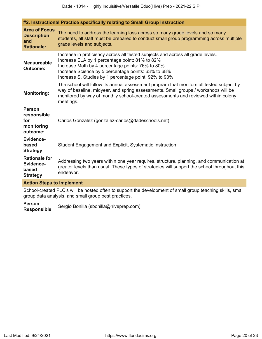|                                                                        | #2. Instructional Practice specifically relating to Small Group Instruction                                                                                                                                                                                                                           |
|------------------------------------------------------------------------|-------------------------------------------------------------------------------------------------------------------------------------------------------------------------------------------------------------------------------------------------------------------------------------------------------|
| <b>Area of Focus</b><br><b>Description</b><br>and<br><b>Rationale:</b> | The need to address the learning loss across so many grade levels and so many<br>students, all staff must be prepared to conduct small group programming across multiple<br>grade levels and subjects.                                                                                                |
| <b>Measureable</b><br><b>Outcome:</b>                                  | Increase in proficiency across all tested subjects and across all grade levels.<br>Increase ELA by 1 percentage point: 81% to 82%<br>Increase Math by 4 percentage points: 76% to 80%<br>Increase Science by 5 percentage points: 63% to 68%<br>Increase S. Studies by 1 percentage point: 92% to 93% |
| <b>Monitoring:</b>                                                     | The school will follow its annual assessment program that monitors all tested subject by<br>way of baseline, midyear, and spring assessments. Small groups / workshops will be<br>monitored by way of monthly school-created assessments and reviewed within colony<br>meetings.                      |
| <b>Person</b><br>responsible<br>for<br>monitoring<br>outcome:          | Carlos Gonzalez (gonzalez-carlos@dadeschools.net)                                                                                                                                                                                                                                                     |
| <b>Evidence-</b><br>based<br><b>Strategy:</b>                          | Student Engagement and Explicit, Systematic Instruction                                                                                                                                                                                                                                               |
| <b>Rationale for</b><br><b>Evidence-</b><br>based<br>Strategy:         | Addressing two years within one year requires, structure, planning, and communication at<br>greater levels than usual. These types of strategies will support the school throughout this<br>endeavor.                                                                                                 |
| <b>Action Steps to Implement</b>                                       |                                                                                                                                                                                                                                                                                                       |
|                                                                        | School-created PLC's will be hosted often to support the development of small group teaching skills, small<br>group data analysis, and small group best practices.                                                                                                                                    |

**Person** Sergio Bonilla (sbonilla@hiveprep.com)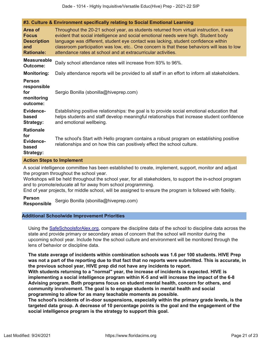|  |  |  | #3. Culture & Environment specifically relating to Social Emotional Learning |
|--|--|--|------------------------------------------------------------------------------|
|--|--|--|------------------------------------------------------------------------------|

| Area of<br><b>Focus</b><br><b>Description</b><br>and<br><b>Rationale:</b> | Throughout the 20-21 school year, as students returned from virtual instruction, it was<br>evident that social intelligence and social emotional needs were high. Student body<br>language was different, student eye contact was lacking, student confidence within<br>classroom participation was low, etc One concern is that these behaviors will leas to low<br>attendance rates at school and at extracurricular activities. |  |  |
|---------------------------------------------------------------------------|------------------------------------------------------------------------------------------------------------------------------------------------------------------------------------------------------------------------------------------------------------------------------------------------------------------------------------------------------------------------------------------------------------------------------------|--|--|
| <b>Measureable</b><br><b>Outcome:</b>                                     | Daily school attendance rates will increase from 93% to 96%.                                                                                                                                                                                                                                                                                                                                                                       |  |  |
| <b>Monitoring:</b>                                                        | Daily attendance reports will be provided to all staff in an effort to inform all stakeholders.                                                                                                                                                                                                                                                                                                                                    |  |  |
| <b>Person</b><br>responsible<br>for<br>monitoring<br>outcome:             | Sergio Bonilla (sbonilla@hiveprep.com)                                                                                                                                                                                                                                                                                                                                                                                             |  |  |
| <b>Evidence-</b><br>based<br><b>Strategy:</b>                             | Establishing positive relationships: the goal is to provide social emotional education that<br>helps students and staff develop meaningful relationships that increase student confidence<br>and emotional wellbeing.                                                                                                                                                                                                              |  |  |
| <b>Rationale</b><br>for<br><b>Evidence-</b><br>based<br><b>Strategy:</b>  | The school's Start with Hello program contains a robust program on establishing positive<br>relationships and on how this can positively effect the school culture.                                                                                                                                                                                                                                                                |  |  |

#### **Action Steps to Implement**

A social intelligence committee has been established to create, implement, support, monitor and adjust the program throughout the school year.

Workshops will be held throughout the school year, for all stakeholders, to support the in-school program and to promote/educate all for away from school programming.

End of year projects, for middle school, will be assigned to ensure the program is followed with fidelity.

#### **Person**

**Responsible** Sergio Bonilla (sbonilla@hiveprep.com)

#### **Additional Schoolwide Improvement Priorities**

Using the [SafeSchoolsforAlex.org](https://www.safeschoolsforalex.org/fl-school-safety-dashboard/), compare the discipline data of the school to discipline data across the state and provide primary or secondary areas of concern that the school will monitor during the upcoming school year. Include how the school culture and environment will be monitored through the lens of behavior or discipline data.

**The state average of incidents within combination schools was 1.6 per 100 students. HIVE Prep was not a part of the reporting due to that fact that no reports were submitted. This is accurate, in the previous school year, HIVE prep did not have any incidents to report.**

**With students returning to a "normal" year, the increase of incidents is expected. HIVE is implementing a social intelligence program within K-5 and will increase the impact of the 6-8 Advising program. Both programs focus on student mental health, concern for others, and community involvement. The goal is to engage students in mental health and social programming to allow for as many teachable moments as possible.**

**The school's incidents of in-door suspensions, especially within the primary grade levels, is the targeted data group. A decrease of 10 percentage points is the goal and the engagement of the social intelligence program is the strategy to support this goal.**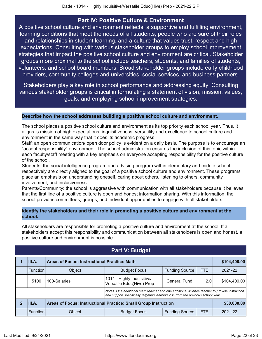## **Part IV: Positive Culture & Environment**

<span id="page-21-0"></span>A positive school culture and environment reflects: a supportive and fulfilling environment, learning conditions that meet the needs of all students, people who are sure of their roles and relationships in student learning, and a culture that values trust, respect and high expectations. Consulting with various stakeholder groups to employ school improvement strategies that impact the positive school culture and environment are critical. Stakeholder groups more proximal to the school include teachers, students, and families of students, volunteers, and school board members. Broad stakeholder groups include early childhood providers, community colleges and universities, social services, and business partners.

Stakeholders play a key role in school performance and addressing equity. Consulting various stakeholder groups is critical in formulating a statement of vision, mission, values, goals, and employing school improvement strategies.

#### **Describe how the school addresses building a positive school culture and environment.**

The school places a positive school culture and environment as its top priority each school year. Thus, it aligns is mission of high expectations, inquisitiveness, versatility and excellence to school culture and environment in the same way that it does its academic progress.

Staff: an open communication/ open door policy is evident on a daily basis. The purpose is to encourage an "accept responsibility" environment. The school administration ensures the inclusion of this topic within each faculty/staff meeting with a key emphasis on everyone accepting responsibility for the positive culture of the school.

Students: the social intelligence program and advising program within elementary and middle school respectively are directly aligned to the goal of a positive school culture and environment. These programs place an emphasis on understanding oneself, caring about others, listening to others, community involvement, and inclusiveness.

Parents/Community: the school is aggressive with communication with all stakeholders because it believes that the first line of a positive culture is open and honest information sharing. With this information, the school provides committees, groups, and individual opportunities to engage with all stakeholders.

### **Identify the stakeholders and their role in promoting a positive culture and environment at the school.**

All stakeholders are responsible for promoting a positive culture and environment at the school. If all stakeholders accept this responsibility and communication between all stakeholders is open and honest, a positive culture and environment is possible.

<span id="page-21-1"></span>

| III.A.                                                                                                                                                                          | <b>Areas of Focus: Instructional Practice: Math</b>                                   | \$104,400.00                                            |                       |            |              |  |  |
|---------------------------------------------------------------------------------------------------------------------------------------------------------------------------------|---------------------------------------------------------------------------------------|---------------------------------------------------------|-----------------------|------------|--------------|--|--|
| <b>Function</b>                                                                                                                                                                 | Object                                                                                | <b>Budget Focus</b>                                     | <b>Funding Source</b> | <b>FTE</b> | 2021-22      |  |  |
| 5100                                                                                                                                                                            | 100-Salaries                                                                          | 1014 - Highly Inquisitive/<br>Versatile Educ(Hive) Prep | General Fund          | 2.0        | \$104,400.00 |  |  |
| Notes: One additional math teacher and one additional science teacher to provide instruction<br>and support specifically targeting learning loss from the previous school year. |                                                                                       |                                                         |                       |            |              |  |  |
| III.A.                                                                                                                                                                          | <b>Areas of Focus: Instructional Practice: Small Group Instruction</b><br>\$30,000.00 |                                                         |                       |            |              |  |  |
| <b>Function</b>                                                                                                                                                                 | Object                                                                                | <b>Budget Focus</b>                                     | <b>Funding Source</b> | <b>FTE</b> | 2021-22      |  |  |

## **Part V: Budget**